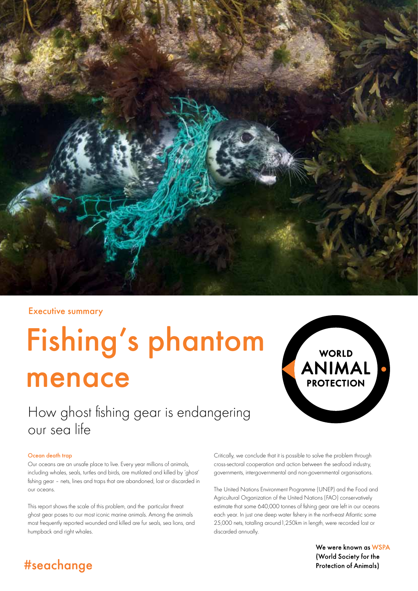

#### Executive summary

# Fishing's phantom menace

# How ghost fishing gear is endangering our sea life

#### Ocean death trap

Our oceans are an unsafe place to live. Every year millions of animals, including whales, seals, turtles and birds, are mutilated and killed by 'ghost' fishing gear – nets, lines and traps that are abandoned, lost or discarded in our oceans.

This report shows the scale of this problem, and the particular threat ghost gear poses to our most iconic marine animals. Among the animals most frequently reported wounded and killed are fur seals, sea lions, and humpback and right whales.

Critically, we conclude that it is possible to solve the problem through cross-sectoral cooperation and action between the seafood industry, governments, intergovernmental and non-governmental organisations.

The United Nations Environment Programme (UNEP) and the Food and Agricultural Organization of the United Nations (FAO) conservatively estimate that some 640,000 tonnes of fishing gear are left in our oceans each year. In just one deep water fishery in the north-east Atlantic some 25,000 nets, totalling around1,250km in length, were recorded lost or discarded annually.

> We were known as WSPA (World Society for the **Protection of Animals)**

WORLD ANIMAL C

**PROTECTION** 

## #seachange